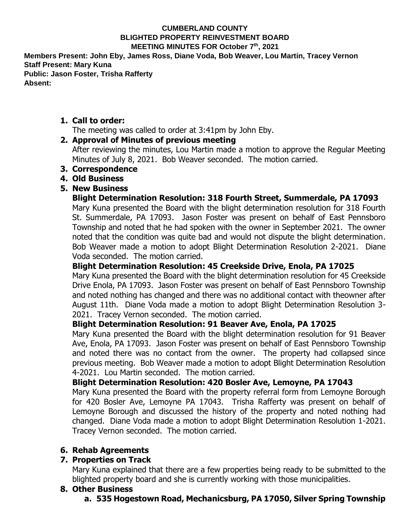#### **CUMBERLAND COUNTY BLIGHTED PROPERTY REINVESTMENT BOARD MEETING MINUTES FOR October 7th, 2021**

**Members Present: John Eby, James Ross, Diane Voda, Bob Weaver, Lou Martin, Tracey Vernon Staff Present: Mary Kuna Public: Jason Foster, Trisha Rafferty Absent:** 

#### **1. Call to order:**

The meeting was called to order at 3:41pm by John Eby.

#### **2. Approval of Minutes of previous meeting**

After reviewing the minutes, Lou Martin made a motion to approve the Regular Meeting Minutes of July 8, 2021. Bob Weaver seconded. The motion carried.

- **3. Correspondence**
- **4. Old Business**

## **5. New Business**

#### **Blight Determination Resolution: 318 Fourth Street, Summerdale, PA 17093**

Mary Kuna presented the Board with the blight determination resolution for 318 Fourth St. Summerdale, PA 17093. Jason Foster was present on behalf of East Pennsboro Township and noted that he had spoken with the owner in September 2021. The owner noted that the condition was quite bad and would not dispute the blight determination. Bob Weaver made a motion to adopt Blight Determination Resolution 2-2021. Diane Voda seconded. The motion carried.

# **Blight Determination Resolution: 45 Creekside Drive, Enola, PA 17025**

Mary Kuna presented the Board with the blight determination resolution for 45 Creekside Drive Enola, PA 17093. Jason Foster was present on behalf of East Pennsboro Township and noted nothing has changed and there was no additional contact with theowner after August 11th. Diane Voda made a motion to adopt Blight Determination Resolution 3- 2021. Tracey Vernon seconded. The motion carried.

## **Blight Determination Resolution: 91 Beaver Ave, Enola, PA 17025**

Mary Kuna presented the Board with the blight determination resolution for 91 Beaver Ave, Enola, PA 17093. Jason Foster was present on behalf of East Pennsboro Township and noted there was no contact from the owner. The property had collapsed since previous meeting. Bob Weaver made a motion to adopt Blight Determination Resolution 4-2021. Lou Martin seconded. The motion carried.

## **Blight Determination Resolution: 420 Bosler Ave, Lemoyne, PA 17043**

Mary Kuna presented the Board with the property referral form from Lemoyne Borough for 420 Bosler Ave, Lemoyne PA 17043. Trisha Rafferty was present on behalf of Lemoyne Borough and discussed the history of the property and noted nothing had changed. Diane Voda made a motion to adopt Blight Determination Resolution 1-2021. Tracey Vernon seconded. The motion carried.

## **6. Rehab Agreements**

## **7. Properties on Track**

Mary Kuna explained that there are a few properties being ready to be submitted to the blighted property board and she is currently working with those municipalities.

## **8. Other Business**

# **a. 535 Hogestown Road, Mechanicsburg, PA 17050, Silver Spring Township**